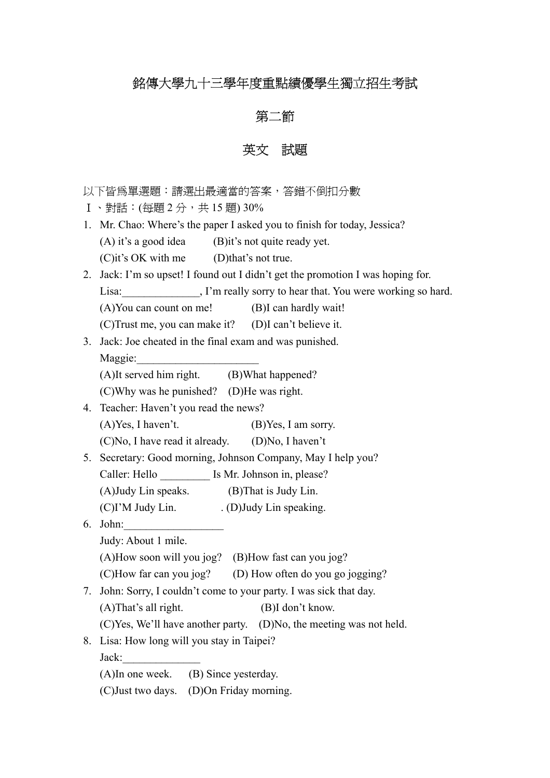# 銘傳大學九十三學年度重點績優學生獨立招生考試

### 第二節

### 英文試題

- 以下皆為單選題:請選出最適當的答案,答錯不倒扣分數
- Ⅰ、對話:(每題 2 分,共 15 題) 30%
- 1. Mr. Chao: Where's the paper I asked you to finish for today, Jessica? (A) it's a good idea (B)it's not quite ready yet. (C)it's OK with me (D)that's not true.
- 2. Jack: I'm so upset! I found out I didn't get the promotion I was hoping for. Lisa: Fig. 1'm really sorry to hear that. You were working so hard. (A)You can count on me! (B)I can hardly wait!
	- (C)Trust me, you can make it? (D)I can't believe it.
- 3. Jack: Joe cheated in the final exam and was punished. Maggie:

| (A)It served him right. | (B)What happened? |
|-------------------------|-------------------|
|                         |                   |

(C)Why was he punished? (D)He was right.

- 4. Teacher: Haven't you read the news?  $(A)$ Yes, I haven't. (B)Yes, I am sorry.
	- (C)No, I have read it already. (D)No, I haven't
- 5. Secretary: Good morning, Johnson Company, May I help you?
	- Caller: Hello **Is Mr. Johnson in, please?**
	- (A)Judy Lin speaks. (B)That is Judy Lin.
	- $(C) I'M Judy Lin.$  .  $(D) Judy Lin speaking.$
- 6. John:\_\_\_\_\_\_\_\_\_\_\_\_\_\_\_\_\_\_ Judy: About 1 mile. (A)How soon will you jog? (B)How fast can you jog? (C)How far can you jog? (D) How often do you go jogging? 7. John: Sorry, I couldn't come to your party. I was sick that day.
	- (A)That's all right. (B)I don't know.
	- (C)Yes, We'll have another party. (D)No, the meeting was not held.
- 8. Lisa: How long will you stay in Taipei?

Jack:

(A)In one week. (B) Since yesterday.

(C)Just two days. (D)On Friday morning.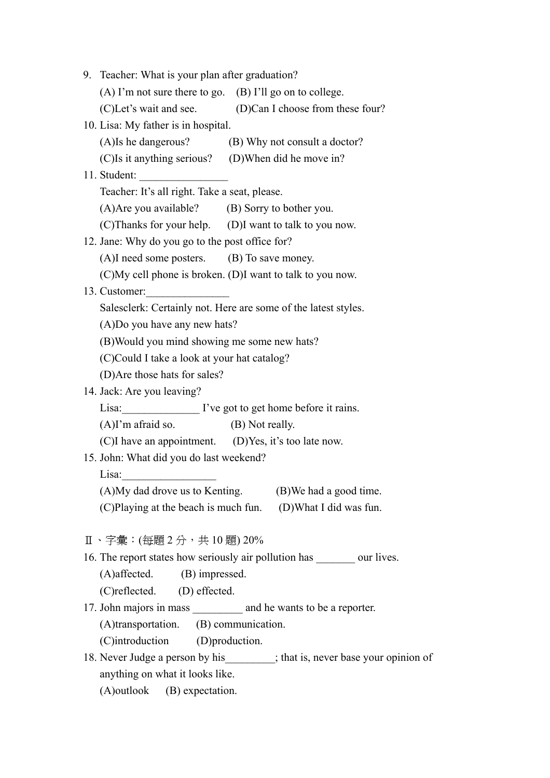| 9. Teacher: What is your plan after graduation?                                |  |  |  |
|--------------------------------------------------------------------------------|--|--|--|
| (A) I'm not sure there to go. (B) I'll go on to college.                       |  |  |  |
| (C)Let's wait and see. (D)Can I choose from these four?                        |  |  |  |
| 10. Lisa: My father is in hospital.                                            |  |  |  |
| (A) Is he dangerous? (B) Why not consult a doctor?                             |  |  |  |
| (C)Is it anything serious? (D)When did he move in?                             |  |  |  |
|                                                                                |  |  |  |
| Teacher: It's all right. Take a seat, please.                                  |  |  |  |
| (A) Are you available? (B) Sorry to bother you.                                |  |  |  |
| (C)Thanks for your help. (D)I want to talk to you now.                         |  |  |  |
| 12. Jane: Why do you go to the post office for?                                |  |  |  |
| (A)I need some posters. (B) To save money.                                     |  |  |  |
| (C)My cell phone is broken. (D)I want to talk to you now.                      |  |  |  |
| 13. Customer:                                                                  |  |  |  |
| Salesclerk: Certainly not. Here are some of the latest styles.                 |  |  |  |
| (A)Do you have any new hats?                                                   |  |  |  |
| (B) Would you mind showing me some new hats?                                   |  |  |  |
| (C)Could I take a look at your hat catalog?                                    |  |  |  |
| (D) Are those hats for sales?                                                  |  |  |  |
| 14. Jack: Are you leaving?                                                     |  |  |  |
| Lisa: <u>V</u> ive got to get home before it rains.                            |  |  |  |
| $(A)$ I'm afraid so. $(B)$ Not really.                                         |  |  |  |
| (C)I have an appointment. (D) Yes, it's too late now.                          |  |  |  |
| 15. John: What did you do last weekend?                                        |  |  |  |
| Lisa:                                                                          |  |  |  |
| (A)My dad drove us to Kenting. (B)We had a good time.                          |  |  |  |
| (C)Playing at the beach is much fun. (D)What I did was fun.                    |  |  |  |
|                                                                                |  |  |  |
| $\Pi \cdot \hat{\Xi}$ 彙:(每題 2 分,共 10 題) 20%                                    |  |  |  |
| 16. The report states how seriously air pollution has _________ our lives.     |  |  |  |
| (A) affected. (B) impressed.                                                   |  |  |  |
| (C) reflected. (D) effected.                                                   |  |  |  |
|                                                                                |  |  |  |
| (A)transportation. (B) communication.                                          |  |  |  |
| (C)introduction (D)production.                                                 |  |  |  |
| 18. Never Judge a person by his _________; that is, never base your opinion of |  |  |  |
| anything on what it looks like.                                                |  |  |  |
| (A)outlook (B) expectation.                                                    |  |  |  |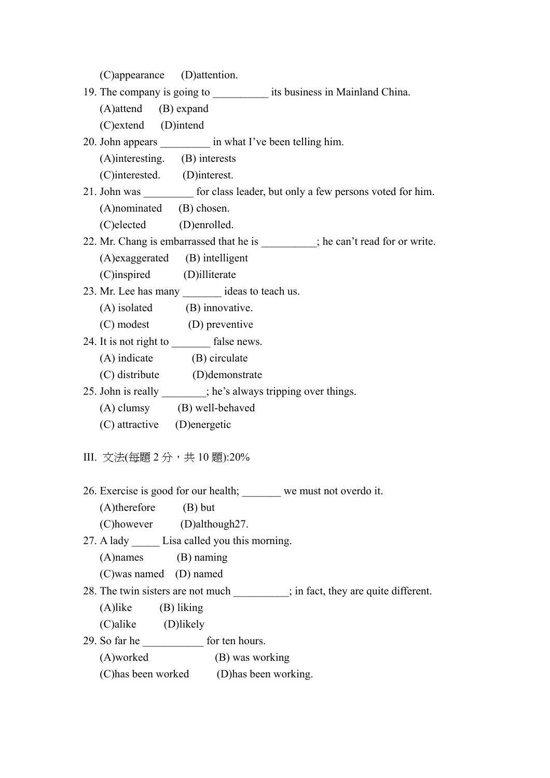| (C)appearance (D)attention.                                                      |  |  |
|----------------------------------------------------------------------------------|--|--|
| 19. The company is going to _______________ its business in Mainland China.      |  |  |
| $(A)$ attend $(B)$ expand                                                        |  |  |
| (C)extend (D)intend                                                              |  |  |
| 20. John appears ___________ in what I've been telling him.                      |  |  |
| (A)interesting. (B) interests                                                    |  |  |
| (C)interested. (D)interest.                                                      |  |  |
| 21. John was ___________ for class leader, but only a few persons voted for him. |  |  |
| (A)nominated (B) chosen.                                                         |  |  |
| (C)elected (D)enrolled.                                                          |  |  |
| 22. Mr. Chang is embarrassed that he is _________; he can't read for or write.   |  |  |
| (A) exaggerated (B) intelligent                                                  |  |  |
| (C)inspired (D)illiterate                                                        |  |  |
| 23. Mr. Lee has many ________ ideas to teach us.                                 |  |  |
| (A) isolated (B) innovative.                                                     |  |  |
| (C) modest (D) preventive                                                        |  |  |
| 24. It is not right to ________ false news.                                      |  |  |
| (A) indicate (B) circulate                                                       |  |  |
| (C) distribute (D) demonstrate                                                   |  |  |
| 25. John is really _______; he's always tripping over things.                    |  |  |
| (A) clumsy (B) well-behaved                                                      |  |  |
| (C) attractive (D) energetic                                                     |  |  |
|                                                                                  |  |  |
| III. 文法(每題 2 分,共 10 題):20%                                                       |  |  |
| 26. Exercise is good for our health; we must not overdo it.                      |  |  |
| $(A)$ therefore $(B)$ but                                                        |  |  |
| (C)however (D)although27.                                                        |  |  |
| 27. A lady _______ Lisa called you this morning.                                 |  |  |
| $(A)$ names $(B)$ naming                                                         |  |  |
| (C)was named (D) named                                                           |  |  |
| 28. The twin sisters are not much _________; in fact, they are quite different.  |  |  |
| $(A)$ like $(B)$ liking                                                          |  |  |
| (C)alike (D)likely                                                               |  |  |
| 29. So far he <u>contract</u> for ten hours.                                     |  |  |
| (A)worked (B) was working                                                        |  |  |
| (C) has been worked (D) has been working.                                        |  |  |
|                                                                                  |  |  |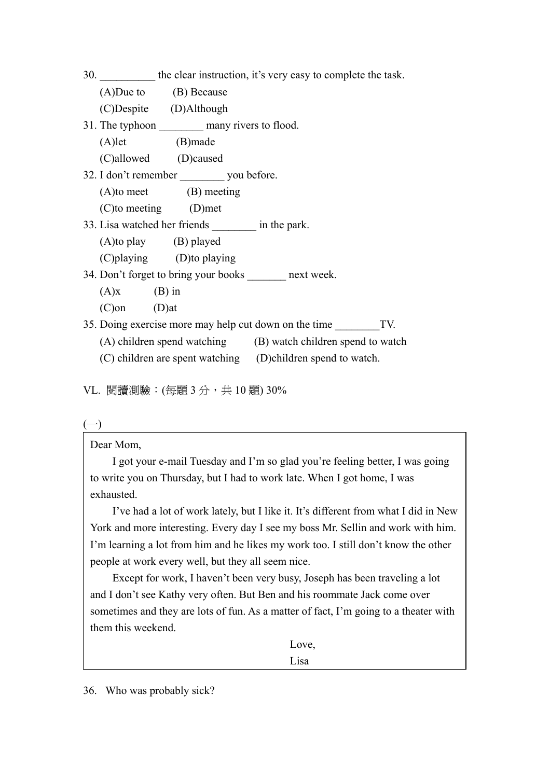|                   |                                                         | 30. the clear instruction, it's very easy to complete the task. |
|-------------------|---------------------------------------------------------|-----------------------------------------------------------------|
|                   | $(A)$ Due to $(B)$ Because                              |                                                                 |
|                   | (C)Despite (D)Although                                  |                                                                 |
|                   | 31. The typhoon __________ many rivers to flood.        |                                                                 |
| $(A)$ let         | (B)made                                                 |                                                                 |
|                   | (C)allowed (D)caused                                    |                                                                 |
|                   | 32. I don't remember _________ you before.              |                                                                 |
|                   | (A)to meet (B) meeting                                  |                                                                 |
|                   | $(C)$ to meeting $(D)$ met                              |                                                                 |
|                   | 33. Lisa watched her friends __________ in the park.    |                                                                 |
|                   | $(A)$ to play $(B)$ played                              |                                                                 |
|                   | (C) playing (D) to playing                              |                                                                 |
|                   | 34. Don't forget to bring your books _______ next week. |                                                                 |
| $(A)x$ $(B)$ in   |                                                         |                                                                 |
| $(C)$ on $(D)$ at |                                                         |                                                                 |
|                   |                                                         | 35. Doing exercise more may help cut down on the time TV.       |
|                   |                                                         | (A) children spend watching (B) watch children spend to watch   |
|                   |                                                         | (C) children are spent watching (D) children spend to watch.    |

VL. 閱讀測驗: (每題 3 分, 共 10 題) 30%

Dear Mom,

 I got your e-mail Tuesday and I'm so glad you're feeling better, I was going to write you on Thursday, but I had to work late. When I got home, I was exhausted.

 I've had a lot of work lately, but I like it. It's different from what I did in New York and more interesting. Every day I see my boss Mr. Sellin and work with him. I'm learning a lot from him and he likes my work too. I still don't know the other people at work every well, but they all seem nice.

 Except for work, I haven't been very busy, Joseph has been traveling a lot and I don't see Kathy very often. But Ben and his roommate Jack come over sometimes and they are lots of fun. As a matter of fact, I'm going to a theater with them this weekend.

Love,

36. Who was probably sick?

Lisa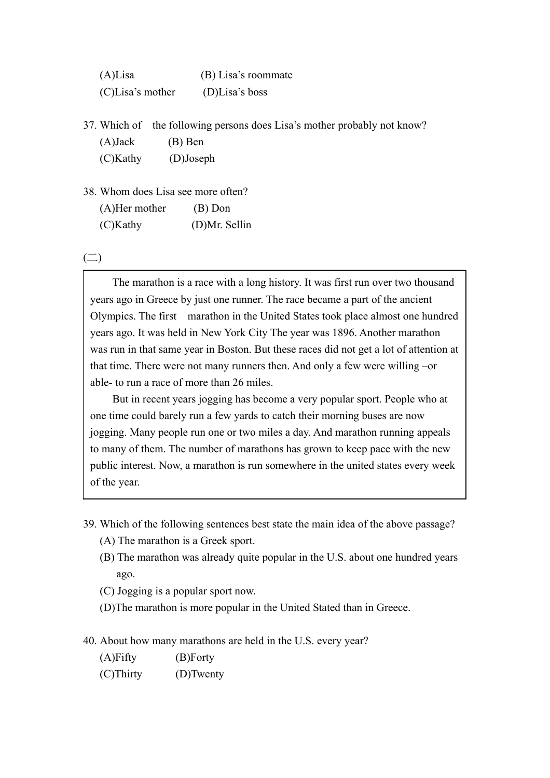| $(A)$ Lisa          | (B) Lisa's roommate |
|---------------------|---------------------|
| $(C)$ Lisa's mother | $(D)$ Lisa's boss   |

37. Which of the following persons does Lisa's mother probably not know? (A)Jack (B) Ben (C)Kathy (D)Joseph

38. Whom does Lisa see more often?

| $(A)$ Her mother | $(B)$ Don     |
|------------------|---------------|
| $(C)$ Kathy      | (D)Mr. Sellin |

 $\left(\square\right)$ 

 The marathon is a race with a long history. It was first run over two thousand years ago in Greece by just one runner. The race became a part of the ancient Olympics. The first marathon in the United States took place almost one hundred years ago. It was held in New York City The year was 1896. Another marathon was run in that same year in Boston. But these races did not get a lot of attention at that time. There were not many runners then. And only a few were willing –or able- to run a race of more than 26 miles.

 But in recent years jogging has become a very popular sport. People who at one time could barely run a few yards to catch their morning buses are now jogging. Many people run one or two miles a day. And marathon running appeals to many of them. The number of marathons has grown to keep pace with the new public interest. Now, a marathon is run somewhere in the united states every week of the year.

- 39. Which of the following sentences best state the main idea of the above passage?
	- (A) The marathon is a Greek sport.
	- (B) The marathon was already quite popular in the U.S. about one hundred years ago.
	- (C) Jogging is a popular sport now.
	- (D)The marathon is more popular in the United Stated than in Greece.
- 40. About how many marathons are held in the U.S. every year?
	- (A)Fifty (B)Forty
	- (C)Thirty (D)Twenty